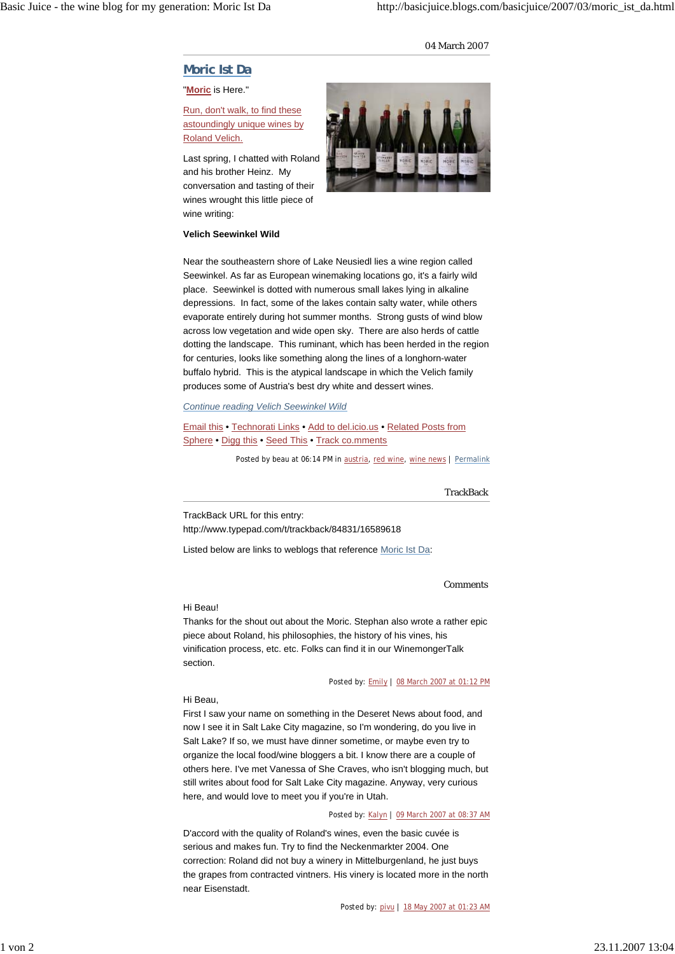## 04 March 2007

# **Moric Ist Da**

## "**Moric** is Here."

Run, don't walk, to find these astoundingly unique wines by Roland Velich.

Last spring, I chatted with Roland and his brother Heinz. My conversation and tasting of their wines wrought this little piece of wine writing:



## **Velich Seewinkel Wild**

Near the southeastern shore of Lake Neusiedl lies a wine region called Seewinkel. As far as European winemaking locations go, it's a fairly wild place. Seewinkel is dotted with numerous small lakes lying in alkaline depressions. In fact, some of the lakes contain salty water, while others evaporate entirely during hot summer months. Strong gusts of wind blow across low vegetation and wide open sky. There are also herds of cattle dotting the landscape. This ruminant, which has been herded in the region for centuries, looks like something along the lines of a longhorn-water buffalo hybrid. This is the atypical landscape in which the Velich family produces some of Austria's best dry white and dessert wines.

### *Continue reading Velich Seewinkel Wild*

Email this • Technorati Links • Add to del.icio.us • Related Posts from Sphere • Digg this • Seed This • Track co.mments

Posted by beau at 06:14 PM in austria, red wine, wine news | Permalink

# **TrackBack**

TrackBack URL for this entry: http://www.typepad.com/t/trackback/84831/16589618

Listed below are links to weblogs that reference Moric Ist Da:

#### Comments

#### Hi Beau!

Thanks for the shout out about the Moric. Stephan also wrote a rather epic piece about Roland, his philosophies, the history of his vines, his vinification process, etc. etc. Folks can find it in our WinemongerTalk section.

Posted by: Emily | 08 March 2007 at 01:12 PM

# Hi Beau,

First I saw your name on something in the Deseret News about food, and now I see it in Salt Lake City magazine, so I'm wondering, do you live in Salt Lake? If so, we must have dinner sometime, or maybe even try to organize the local food/wine bloggers a bit. I know there are a couple of others here. I've met Vanessa of She Craves, who isn't blogging much, but still writes about food for Salt Lake City magazine. Anyway, very curious here, and would love to meet you if you're in Utah.

Posted by: Kalyn | 09 March 2007 at 08:37 AM

D'accord with the quality of Roland's wines, even the basic cuvée is serious and makes fun. Try to find the Neckenmarkter 2004. One correction: Roland did not buy a winery in Mittelburgenland, he just buys the grapes from contracted vintners. His vinery is located more in the north near Eisenstadt.